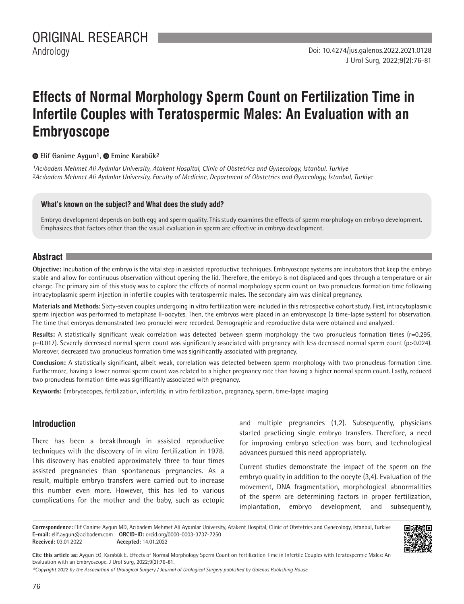# **Effects of Normal Morphology Sperm Count on Fertilization Time in Infertile Couples with Teratospermic Males: An Evaluation with an Embryoscope**

**•Elif Ganime Aygun<sup>1</sup>, • Emine Karabük<sup>2</sup>** 

*1Acıbadem Mehmet Ali Aydınlar University, Atakent Hospital, Clinic of Obstetrics and Gynecology, İstanbul, Turkiye 2Acıbadem Mehmet Ali Aydınlar University, Faculty of Medicine, Department of Obstetrics and Gynecology, İstanbul, Turkiye*

## **What's known on the subject? and What does the study add?**

Embryo development depends on both egg and sperm quality. This study examines the effects of sperm morphology on embryo development. Emphasizes that factors other than the visual evaluation in sperm are effective in embryo development.

# **Abstract**

**Objective:** Incubation of the embryo is the vital step in assisted reproductive techniques. Embryoscope systems are incubators that keep the embryo stable and allow for continuous observation without opening the lid. Therefore, the embryo is not displaced and goes through a temperature or air change. The primary aim of this study was to explore the effects of normal morphology sperm count on two pronucleus formation time following intracytoplasmic sperm injection in infertile couples with teratospermic males. The secondary aim was clinical pregnancy.

**Materials and Methods:** Sixty-seven couples undergoing in vitro fertilization were included in this retrospective cohort study. First, intracytoplasmic sperm injection was performed to metaphase II-oocytes. Then, the embryos were placed in an embryoscope (a time-lapse system) for observation. The time that embryos demonstrated two pronuclei were recorded. Demographic and reproductive data were obtained and analyzed.

Results: A statistically significant weak correlation was detected between sperm morphology the two pronucleus formation times (r=0.295, p=0.017). Severely decreased normal sperm count was significantly associated with pregnancy with less decreased normal sperm count (p>0.024). Moreover, decreased two pronucleus formation time was significantly associated with pregnancy.

**Conclusion:** A statistically significant, albeit weak, correlation was detected between sperm morphology with two pronucleus formation time. Furthermore, having a lower normal sperm count was related to a higher pregnancy rate than having a higher normal sperm count. Lastly, reduced two pronucleus formation time was significantly associated with pregnancy.

**Keywords:** Embryoscopes, fertilization, infertility, in vitro fertilization, pregnancy, sperm, time-lapse imaging

# **Introduction**

There has been a breakthrough in assisted reproductive techniques with the discovery of in vitro fertilization in 1978. This discovery has enabled approximately three to four times assisted pregnancies than spontaneous pregnancies. As a result, multiple embryo transfers were carried out to increase this number even more. However, this has led to various complications for the mother and the baby, such as ectopic and multiple pregnancies (1,2). Subsequently, physicians started practicing single embryo transfers. Therefore, a need for improving embryo selection was born, and technological advances pursued this need appropriately.

Current studies demonstrate the impact of the sperm on the embryo quality in addition to the oocyte (3,4). Evaluation of the movement, DNA fragmentation, morphological abnormalities of the sperm are determining factors in proper fertilization, implantation, embryo development, and subsequently,

**Correspondence:** Elif Ganime Aygun MD, Acıbadem Mehmet Ali Aydınlar University, Atakent Hospital, Clinic of Obstetrics and Gynecology, İstanbul, Turkiye **E-mail:** elif.aygun@acibadem.com **ORCID-ID:** orcid.org/0000-0003-3737-7250 **Received:** 03.01.2022 **Accepted:** 14.01.2022



**Cite this article as:** Aygun EG, Karabük E. Effects of Normal Morphology Sperm Count on Fertilization Time in Infertile Couples with Teratospermic Males: An Evaluation with an Embryoscope. J Urol Surg, 2022;9(2):76-81.

*©Copyright 2022 by the Association of Urological Surgery / Journal of Urological Surgery published by Galenos Publishing House.*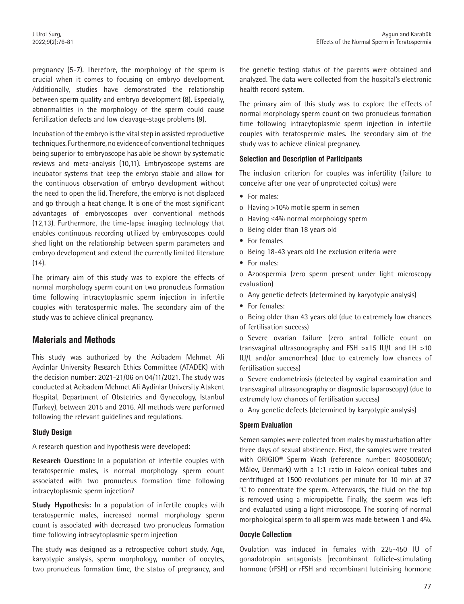pregnancy (5-7). Therefore, the morphology of the sperm is crucial when it comes to focusing on embryo development. Additionally, studies have demonstrated the relationship between sperm quality and embryo development (8). Especially, abnormalities in the morphology of the sperm could cause fertilization defects and low cleavage-stage problems (9).

Incubation of the embryo is the vital step in assisted reproductive techniques. Furthermore, no evidence of conventional techniques being superior to embryoscope has able be shown by systematic reviews and meta-analysis (10,11). Embryoscope systems are incubator systems that keep the embryo stable and allow for the continuous observation of embryo development without the need to open the lid. Therefore, the embryo is not displaced and go through a heat change. It is one of the most significant advantages of embryoscopes over conventional methods (12,13). Furthermore, the time-lapse imaging technology that enables continuous recording utilized by embryoscopes could shed light on the relationship between sperm parameters and embryo development and extend the currently limited literature (14).

The primary aim of this study was to explore the effects of normal morphology sperm count on two pronucleus formation time following intracytoplasmic sperm injection in infertile couples with teratospermic males. The secondary aim of the study was to achieve clinical pregnancy.

# **Materials and Methods**

This study was authorized by the Acibadem Mehmet Ali Aydinlar University Research Ethics Committee (ATADEK) with the decision number: 2021-21/06 on 04/11/2021. The study was conducted at Acibadem Mehmet Ali Aydinlar University Atakent Hospital, Department of Obstetrics and Gynecology, Istanbul (Turkey), between 2015 and 2016. All methods were performed following the relevant guidelines and regulations.

## **Study Design**

A research question and hypothesis were developed:

**Research Question:** In a population of infertile couples with teratospermic males, is normal morphology sperm count associated with two pronucleus formation time following intracytoplasmic sperm injection?

**Study Hypothesis:** In a population of infertile couples with teratospermic males, increased normal morphology sperm count is associated with decreased two pronucleus formation time following intracytoplasmic sperm injection

The study was designed as a retrospective cohort study. Age, karyotypic analysis, sperm morphology, number of oocytes, two pronucleus formation time, the status of pregnancy, and

the genetic testing status of the parents were obtained and analyzed. The data were collected from the hospital's electronic health record system.

The primary aim of this study was to explore the effects of normal morphology sperm count on two pronucleus formation time following intracytoplasmic sperm injection in infertile couples with teratospermic males. The secondary aim of the study was to achieve clinical pregnancy.

# **Selection and Description of Participants**

The inclusion criterion for couples was infertility (failure to conceive after one year of unprotected coitus) were

- For males:
- o Having >10% motile sperm in semen
- o Having ≤4% normal morphology sperm
- o Being older than 18 years old
- For females
- o Being 18-43 years old The exclusion criteria were
- For males:

o Azoospermia (zero sperm present under light microscopy evaluation)

- o Any genetic defects (determined by karyotypic analysis)
- For females:

o Being older than 43 years old (due to extremely low chances of fertilisation success)

o Severe ovarian failure (zero antral follicle count on transvaginal ultrasonography and FSH >x15 IU/L and LH >10 IU/L and/or amenorrhea) (due to extremely low chances of fertilisation success)

o Severe endometriosis (detected by vaginal examination and transvaginal ultrasonography or diagnostic laparoscopy) (due to extremely low chances of fertilisation success)

o Any genetic defects (determined by karyotypic analysis)

## **Sperm Evaluation**

Semen samples were collected from males by masturbation after three days of sexual abstinence. First, the samples were treated with ORIGIO® Sperm Wash (reference number: 84050060A; Måløv, Denmark) with a 1:1 ratio in Falcon conical tubes and centrifuged at 1500 revolutions per minute for 10 min at 37 <sup>o</sup>C to concentrate the sperm. Afterwards, the fluid on the top is removed using a micropipette. Finally, the sperm was left and evaluated using a light microscope. The scoring of normal morphological sperm to all sperm was made between 1 and 4%.

## **Oocyte Collection**

Ovulation was induced in females with 225-450 IU of gonadotropin antagonists [recombinant follicle-stimulating hormone (rFSH) or rFSH and recombinant luteinising hormone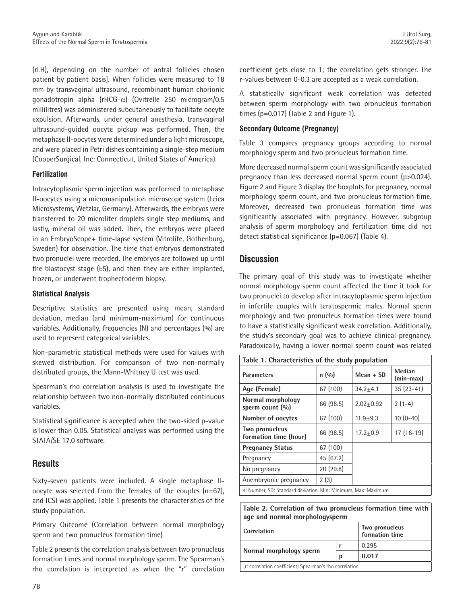(rLH), depending on the number of antral follicles chosen patient by patient basis]. When follicles were measured to 18 mm by transvaginal ultrasound, recombinant human chorionic gonadotropin alpha (rHCG-α) (Ovitrelle 250 microgram/0.5 millilitres) was administered subcutaneously to facilitate oocyte expulsion. Afterwards, under general anesthesia, transvaginal ultrasound-guided oocyte pickup was performed. Then, the metaphase II-oocytes were determined under a light microscope, and were placed in Petri dishes containing a single-step medium (CooperSurgical, Inc; Connecticut, United States of America).

## **Fertilization**

Intracytoplasmic sperm injection was performed to metaphase II-oocytes using a micromanipulation microscope system (Leica Microsystems, Wetzlar, Germany). Afterwards, the embryos were transferred to 20 microliter droplets single step mediums, and lastly, mineral oil was added. Then, the embryos were placed in an EmbryoScope+ time-lapse system (Vitrolife, Gothenburg, Sweden) for observation. The time that embryos demonstrated two pronuclei were recorded. The embryos are followed up until the blastocyst stage (E5), and then they are either implanted, frozen, or underwent trophectoderm biopsy.

## **Statistical Analysis**

Descriptive statistics are presented using mean, standard deviation, median (and minimum-maximum) for continuous variables. Additionally, frequencies (N) and percentages (%) are used to represent categorical variables.

Non-parametric statistical methods were used for values with skewed distribution. For comparison of two non-normally distributed groups, the Mann-Whitney U test was used.

Spearman's rho correlation analysis is used to investigate the relationship between two non-normally distributed continuous variables.

Statistical significance is accepted when the two-sided p-value is lower than 0.05. Statistical analysis was performed using the STATA/SE 17.0 software.

# **Results**

Sixty-seven patients were included. A single metaphase IIoocyte was selected from the females of the couples (n=67), and ICSI was applied. Table 1 presents the characteristics of the study population.

Primary Outcome (Correlation between normal morphology sperm and two pronucleus formation time)

Table 2 presents the correlation analysis between two pronucleus formation times and normal morphology sperm. The Spearman's rho correlation is interpreted as when the "r" correlation

coefficient gets close to 1; the correlation gets stronger. The r-values between 0-0.3 are accepted as a weak correlation.

A statistically significant weak correlation was detected between sperm morphology with two pronucleus formation times ( $p=0.017$ ) (Table 2 and Figure 1).

## **Secondary Outcome (Pregnancy)**

Table 3 compares pregnancy groups according to normal morphology sperm and two pronucleus formation time.

More decreased normal sperm count was significantly associated pregnancy than less decreased normal sperm count (p>0.024). Figure 2 and Figure 3 display the boxplots for pregnancy, normal morphology sperm count, and two pronucleus formation time. Moreover, decreased two pronucleus formation time was significantly associated with pregnancy. However, subgroup analysis of sperm morphology and fertilization time did not detect statistical significance (p=0.067) (Table 4).

# **Discussion**

The primary goal of this study was to investigate whether normal morphology sperm count affected the time it took for two pronuclei to develop after intracytoplasmic sperm injection in infertile couples with teratospermic males. Normal sperm morphology and two pronucleus formation times were found to have a statistically significant weak correlation. Additionally, the study's secondary goal was to achieve clinical pregnancy. Paradoxically, having a lower normal sperm count was related

| Table 1. Characteristics of the study population              |           |               |                     |  |  |  |
|---------------------------------------------------------------|-----------|---------------|---------------------|--|--|--|
| <b>Parameters</b>                                             | n(90)     | $Mean + SD$   | Median<br>(min-max) |  |  |  |
| Age (Female)                                                  | 67 (100)  | $34.2 + 4.1$  | $35(23-41)$         |  |  |  |
| Normal morphology<br>sperm count (%)                          | 66 (98.5) | $2.02 + 0.92$ | $2(1-4)$            |  |  |  |
| <b>Number of oocytes</b>                                      | 67 (100)  | $11.9 + 9.3$  | $10(0-40)$          |  |  |  |
| Two pronucleus<br>formation time (hour)                       | 66 (98.5) | $17.2 + 0.9$  | $17(16-19)$         |  |  |  |
| <b>Pregnancy Status</b>                                       | 67 (100)  |               |                     |  |  |  |
| Pregnancy                                                     | 45 (67.2) |               |                     |  |  |  |
| No pregnancy                                                  | 20(29.8)  |               |                     |  |  |  |
| Anembryonic pregnancy                                         | 2(3)      |               |                     |  |  |  |
| n: Number, SD: Standard deviation, Min: Minimum, Max: Maximum |           |               |                     |  |  |  |

## **Table 2. Correlation of two pronucleus formation time with age and normal morphologysperm**

| Correlation                                             | Two pronucleus<br>formation time |       |  |  |
|---------------------------------------------------------|----------------------------------|-------|--|--|
|                                                         |                                  | 0.295 |  |  |
| Normal morphology sperm                                 | D                                | 0.017 |  |  |
| (r: correlation coefficient) Spearman's rho correlation |                                  |       |  |  |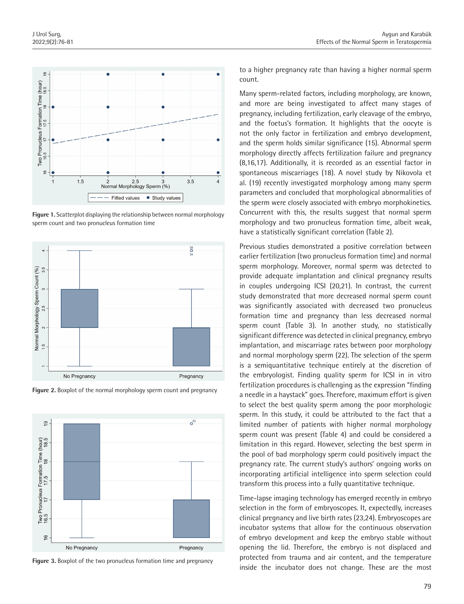

**Figure 1.** Scatterplot displaying the relationship between normal morphology sperm count and two pronucleus formation time



**Figure 2.** Boxplot of the normal morphology sperm count and pregnancy



**Figure 3.** Boxplot of the two pronucleus formation time and pregnancy

to a higher pregnancy rate than having a higher normal sperm count.

Many sperm-related factors, including morphology, are known, and more are being investigated to affect many stages of pregnancy, including fertilization, early cleavage of the embryo, and the foetus's formation. It highlights that the oocyte is not the only factor in fertilization and embryo development, and the sperm holds similar significance (15). Abnormal sperm morphology directly affects fertilization failure and pregnancy (8,16,17). Additionally, it is recorded as an essential factor in spontaneous miscarriages (18). A novel study by Nikovola et al. (19) recently investigated morphology among many sperm parameters and concluded that morphological abnormalities of the sperm were closely associated with embryo morphokinetics. Concurrent with this, the results suggest that normal sperm morphology and two pronucleus formation time, albeit weak, have a statistically significant correlation (Table 2).

Previous studies demonstrated a positive correlation between earlier fertilization (two pronucleus formation time) and normal sperm morphology. Moreover, normal sperm was detected to provide adequate implantation and clinical pregnancy results in couples undergoing ICSI (20,21). In contrast, the current study demonstrated that more decreased normal sperm count was significantly associated with decreased two pronucleus formation time and pregnancy than less decreased normal sperm count (Table 3). In another study, no statistically significant difference was detected in clinical pregnancy, embryo implantation, and miscarriage rates between poor morphology and normal morphology sperm (22). The selection of the sperm is a semiquantitative technique entirely at the discretion of the embryologist. Finding quality sperm for ICSI in in vitro fertilization procedures is challenging as the expression "finding a needle in a haystack" goes. Therefore, maximum effort is given to select the best quality sperm among the poor morphologic sperm. In this study, it could be attributed to the fact that a limited number of patients with higher normal morphology sperm count was present (Table 4) and could be considered a limitation in this regard. However, selecting the best sperm in the pool of bad morphology sperm could positively impact the pregnancy rate. The current study's authors' ongoing works on incorporating artificial intelligence into sperm selection could transform this process into a fully quantitative technique.

Time-lapse imaging technology has emerged recently in embryo selection in the form of embryoscopes. It, expectedly, increases clinical pregnancy and live birth rates (23,24). Embryoscopes are incubator systems that allow for the continuous observation of embryo development and keep the embryo stable without opening the lid. Therefore, the embryo is not displaced and protected from trauma and air content, and the temperature inside the incubator does not change. These are the most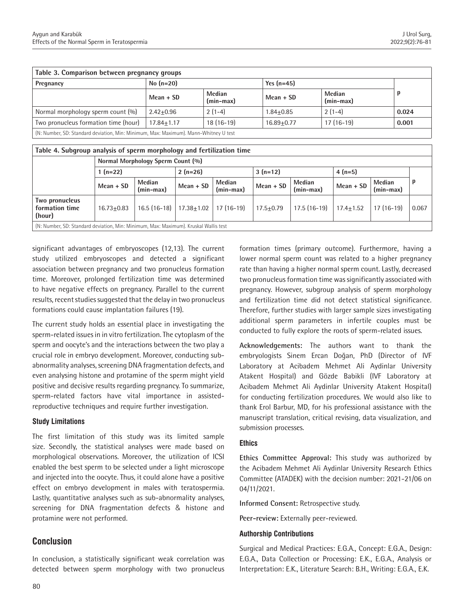| Table 3. Comparison between pregnancy groups                                         |                |                       |                |                       |       |  |  |  |
|--------------------------------------------------------------------------------------|----------------|-----------------------|----------------|-----------------------|-------|--|--|--|
| Pregnancy                                                                            | No $(n=20)$    |                       | Yes $(n=45)$   |                       |       |  |  |  |
|                                                                                      | Mean + SD      | Median<br>$(min-max)$ | Mean + SD      | Median<br>$(min-max)$ | p     |  |  |  |
| Normal morphology sperm count $(\%)$                                                 | $2.42 + 0.96$  | $2(1-4)$              | $1.84 + 0.85$  | $2(1-4)$              | 0.024 |  |  |  |
| Two pronucleus formation time (hour)                                                 | $17.84 + 1.17$ | $18(16-19)$           | $16.89 + 0.77$ | $17(16-19)$           | 0.001 |  |  |  |
| (N: Number, SD: Standard deviation, Min: Minimum, Max: Maximum). Mann-Whitney U test |                |                       |                |                       |       |  |  |  |

| Table 4. Subgroup analysis of sperm morphology and fertilization time                |                                   |                       |                |                     |               |                       |               |                       |       |
|--------------------------------------------------------------------------------------|-----------------------------------|-----------------------|----------------|---------------------|---------------|-----------------------|---------------|-----------------------|-------|
|                                                                                      | Normal Morphology Sperm Count (%) |                       |                |                     |               |                       |               |                       |       |
|                                                                                      | $(n=22)$                          |                       | $2(n=26)$      |                     | $3(n=12)$     |                       | $4(n=5)$      |                       |       |
|                                                                                      | $Mean + SD$                       | Median<br>$(min-max)$ | $Mean + SD$    | Median<br>(min-max) | $Mean + SD$   | Median<br>$(min-max)$ | Mean + SD     | Median<br>$(min-max)$ |       |
| Two pronucleus<br>formation time<br>(hour)                                           | $16.73 + 0.83$                    | $16.5(16-18)$         | $17.38 + 1.02$ | $17(16-19)$         | $17.5 + 0.79$ | $17.5(16-19)$         | $17.4 + 1.52$ | $17(16-19)$           | 0.067 |
| (N: Number, SD: Standard deviation, Min: Minimum, Max: Maximum). Kruskal Wallis test |                                   |                       |                |                     |               |                       |               |                       |       |

significant advantages of embryoscopes (12,13). The current study utilized embryoscopes and detected a significant association between pregnancy and two pronucleus formation time. Moreover, prolonged fertilization time was determined to have negative effects on pregnancy. Parallel to the current results, recent studies suggested that the delay in two pronucleus formations could cause implantation failures (19).

The current study holds an essential place in investigating the sperm-related issues in in vitro fertilization. The cytoplasm of the sperm and oocyte's and the interactions between the two play a crucial role in embryo development. Moreover, conducting subabnormality analyses, screening DNA fragmentation defects, and even analysing histone and protamine of the sperm might yield positive and decisive results regarding pregnancy. To summarize, sperm-related factors have vital importance in assistedreproductive techniques and require further investigation.

## **Study Limitations**

The first limitation of this study was its limited sample size. Secondly, the statistical analyses were made based on morphological observations. Moreover, the utilization of ICSI enabled the best sperm to be selected under a light microscope and injected into the oocyte. Thus, it could alone have a positive effect on embryo development in males with teratospermia. Lastly, quantitative analyses such as sub-abnormality analyses, screening for DNA fragmentation defects & histone and protamine were not performed.

# **Conclusion**

In conclusion, a statistically significant weak correlation was detected between sperm morphology with two pronucleus formation times (primary outcome). Furthermore, having a lower normal sperm count was related to a higher pregnancy rate than having a higher normal sperm count. Lastly, decreased two pronucleus formation time was significantly associated with pregnancy. However, subgroup analysis of sperm morphology and fertilization time did not detect statistical significance. Therefore, further studies with larger sample sizes investigating additional sperm parameters in infertile couples must be conducted to fully explore the roots of sperm-related issues.

**Acknowledgements:** The authors want to thank the embryologists Sinem Ercan Doğan, PhD (Director of IVF Laboratory at Acibadem Mehmet Ali Aydinlar University Atakent Hospital) and Gözde Babikli (IVF Laboratory at Acibadem Mehmet Ali Aydinlar University Atakent Hospital) for conducting fertilization procedures. We would also like to thank Erol Barbur, MD, for his professional assistance with the manuscript translation, critical revising, data visualization, and submission processes.

## **Ethics**

**Ethics Committee Approval:** This study was authorized by the Acibadem Mehmet Ali Aydinlar University Research Ethics Committee (ATADEK) with the decision number: 2021-21/06 on 04/11/2021.

**Informed Consent:** Retrospective study.

**Peer-review:** Externally peer-reviewed.

## **Authorship Contributions**

Surgical and Medical Practices: E.G.A., Concept: E.G.A., Design: E.G.A., Data Collection or Processing: E.K., E.G.A., Analysis or Interpretation: E.K., Literature Search: B.H., Writing: E.G.A., E.K.